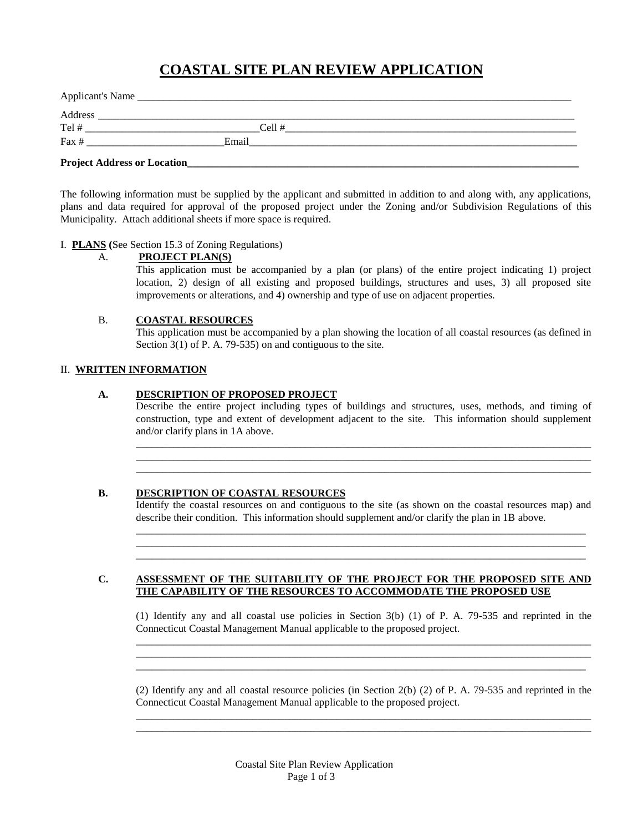# **COASTAL SITE PLAN REVIEW APPLICATION**

| Applicant's Name                    |       |  |
|-------------------------------------|-------|--|
| Address                             |       |  |
| Tel #                               | Cell# |  |
| Fax #                               | Email |  |
| <b>Project Address or Location_</b> |       |  |

The following information must be supplied by the applicant and submitted in addition to and along with, any applications, plans and data required for approval of the proposed project under the Zoning and/or Subdivision Regulations of this Municipality. Attach additional sheets if more space is required.

## I. **PLANS (**See Section 15.3 of Zoning Regulations)

#### A. **PROJECT PLAN(S)**

This application must be accompanied by a plan (or plans) of the entire project indicating 1) project location, 2) design of all existing and proposed buildings, structures and uses, 3) all proposed site improvements or alterations, and 4) ownership and type of use on adjacent properties.

## B. **COASTAL RESOURCES**

This application must be accompanied by a plan showing the location of all coastal resources (as defined in Section 3(1) of P. A. 79-535) on and contiguous to the site.

## II. **WRITTEN INFORMATION**

## **A. DESCRIPTION OF PROPOSED PROJECT**

Describe the entire project including types of buildings and structures, uses, methods, and timing of construction, type and extent of development adjacent to the site. This information should supplement and/or clarify plans in 1A above.

\_\_\_\_\_\_\_\_\_\_\_\_\_\_\_\_\_\_\_\_\_\_\_\_\_\_\_\_\_\_\_\_\_\_\_\_\_\_\_\_\_\_\_\_\_\_\_\_\_\_\_\_\_\_\_\_\_\_\_\_\_\_\_\_\_\_\_\_\_\_\_\_\_\_\_\_\_\_\_\_\_\_\_\_\_\_ \_\_\_\_\_\_\_\_\_\_\_\_\_\_\_\_\_\_\_\_\_\_\_\_\_\_\_\_\_\_\_\_\_\_\_\_\_\_\_\_\_\_\_\_\_\_\_\_\_\_\_\_\_\_\_\_\_\_\_\_\_\_\_\_\_\_\_\_\_\_\_\_\_\_\_\_\_\_\_\_\_\_\_\_\_\_ \_\_\_\_\_\_\_\_\_\_\_\_\_\_\_\_\_\_\_\_\_\_\_\_\_\_\_\_\_\_\_\_\_\_\_\_\_\_\_\_\_\_\_\_\_\_\_\_\_\_\_\_\_\_\_\_\_\_\_\_\_\_\_\_\_\_\_\_\_\_\_\_\_\_\_\_\_\_\_\_\_\_\_\_\_\_

#### **B. DESCRIPTION OF COASTAL RESOURCES**

Identify the coastal resources on and contiguous to the site (as shown on the coastal resources map) and describe their condition. This information should supplement and/or clarify the plan in 1B above. \_\_\_\_\_\_\_\_\_\_\_\_\_\_\_\_\_\_\_\_\_\_\_\_\_\_\_\_\_\_\_\_\_\_\_\_\_\_\_\_\_\_\_\_\_\_\_\_\_\_\_\_\_\_\_\_\_\_\_\_\_\_\_\_\_\_\_\_\_\_\_\_\_\_\_\_\_\_\_\_\_\_\_\_\_

\_\_\_\_\_\_\_\_\_\_\_\_\_\_\_\_\_\_\_\_\_\_\_\_\_\_\_\_\_\_\_\_\_\_\_\_\_\_\_\_\_\_\_\_\_\_\_\_\_\_\_\_\_\_\_\_\_\_\_\_\_\_\_\_\_\_\_\_\_\_\_\_\_\_\_\_\_\_\_\_\_\_\_\_\_ \_\_\_\_\_\_\_\_\_\_\_\_\_\_\_\_\_\_\_\_\_\_\_\_\_\_\_\_\_\_\_\_\_\_\_\_\_\_\_\_\_\_\_\_\_\_\_\_\_\_\_\_\_\_\_\_\_\_\_\_\_\_\_\_\_\_\_\_\_\_\_\_\_\_\_\_\_\_\_\_\_\_\_\_\_

#### **C. ASSESSMENT OF THE SUITABILITY OF THE PROJECT FOR THE PROPOSED SITE AND THE CAPABILITY OF THE RESOURCES TO ACCOMMODATE THE PROPOSED USE**

(1) Identify any and all coastal use policies in Section 3(b) (1) of P. A. 79-535 and reprinted in the Connecticut Coastal Management Manual applicable to the proposed project. \_\_\_\_\_\_\_\_\_\_\_\_\_\_\_\_\_\_\_\_\_\_\_\_\_\_\_\_\_\_\_\_\_\_\_\_\_\_\_\_\_\_\_\_\_\_\_\_\_\_\_\_\_\_\_\_\_\_\_\_\_\_\_\_\_\_\_\_\_\_\_\_\_\_\_\_\_\_\_\_\_\_\_\_\_\_

\_\_\_\_\_\_\_\_\_\_\_\_\_\_\_\_\_\_\_\_\_\_\_\_\_\_\_\_\_\_\_\_\_\_\_\_\_\_\_\_\_\_\_\_\_\_\_\_\_\_\_\_\_\_\_\_\_\_\_\_\_\_\_\_\_\_\_\_\_\_\_\_\_\_\_\_\_\_\_\_\_\_\_\_\_\_ \_\_\_\_\_\_\_\_\_\_\_\_\_\_\_\_\_\_\_\_\_\_\_\_\_\_\_\_\_\_\_\_\_\_\_\_\_\_\_\_\_\_\_\_\_\_\_\_\_\_\_\_\_\_\_\_\_\_\_\_\_\_\_\_\_\_\_\_\_\_\_\_\_\_\_\_\_\_\_\_\_\_\_\_\_

(2) Identify any and all coastal resource policies (in Section 2(b) (2) of P. A. 79-535 and reprinted in the Connecticut Coastal Management Manual applicable to the proposed project. \_\_\_\_\_\_\_\_\_\_\_\_\_\_\_\_\_\_\_\_\_\_\_\_\_\_\_\_\_\_\_\_\_\_\_\_\_\_\_\_\_\_\_\_\_\_\_\_\_\_\_\_\_\_\_\_\_\_\_\_\_\_\_\_\_\_\_\_\_\_\_\_\_\_\_\_\_\_\_\_\_\_\_\_\_\_

\_\_\_\_\_\_\_\_\_\_\_\_\_\_\_\_\_\_\_\_\_\_\_\_\_\_\_\_\_\_\_\_\_\_\_\_\_\_\_\_\_\_\_\_\_\_\_\_\_\_\_\_\_\_\_\_\_\_\_\_\_\_\_\_\_\_\_\_\_\_\_\_\_\_\_\_\_\_\_\_\_\_\_\_\_\_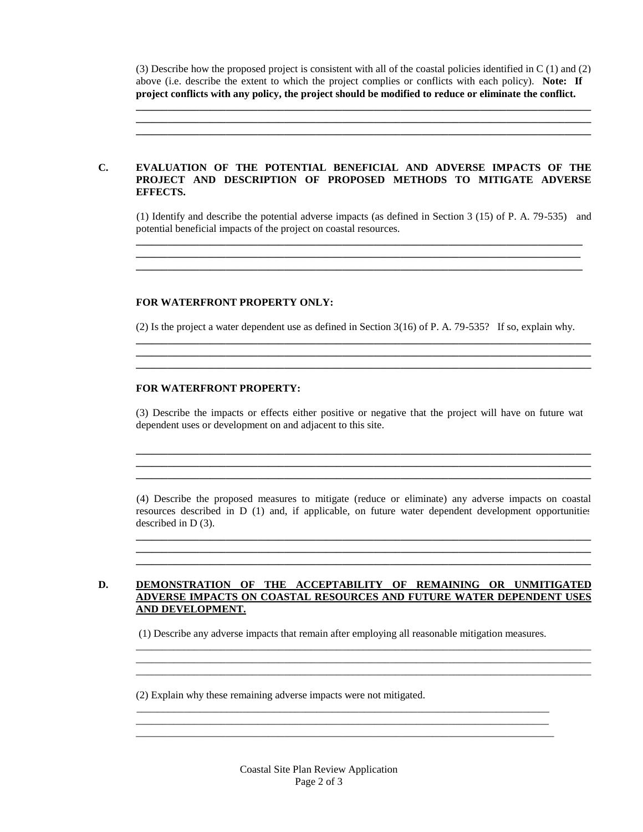(3) Describe how the proposed project is consistent with all of the coastal policies identified in C (1) and (2) above (i.e. describe the extent to which the project complies or conflicts with each policy). Note: If **project conflicts with any policy, the project should be modified to reduce or eliminate the conflict.**

**\_\_\_\_\_\_\_\_\_\_\_\_\_\_\_\_\_\_\_\_\_\_\_\_\_\_\_\_\_\_\_\_\_\_\_\_\_\_\_\_\_\_\_\_\_\_\_\_\_\_\_\_\_\_\_\_\_\_\_\_\_\_\_\_\_\_\_\_\_\_\_\_\_\_\_\_\_\_\_\_\_\_\_\_\_\_ \_\_\_\_\_\_\_\_\_\_\_\_\_\_\_\_\_\_\_\_\_\_\_\_\_\_\_\_\_\_\_\_\_\_\_\_\_\_\_\_\_\_\_\_\_\_\_\_\_\_\_\_\_\_\_\_\_\_\_\_\_\_\_\_\_\_\_\_\_\_\_\_\_\_\_\_\_\_\_\_\_\_\_\_\_\_ \_\_\_\_\_\_\_\_\_\_\_\_\_\_\_\_\_\_\_\_\_\_\_\_\_\_\_\_\_\_\_\_\_\_\_\_\_\_\_\_\_\_\_\_\_\_\_\_\_\_\_\_\_\_\_\_\_\_\_\_\_\_\_\_\_\_\_\_\_\_\_\_\_\_\_\_\_\_\_\_\_\_\_\_\_\_**

### **C. EVALUATION OF THE POTENTIAL BENEFICIAL AND ADVERSE IMPACTS OF THE PROJECT AND DESCRIPTION OF PROPOSED METHODS TO MITIGATE ADVERSE EFFECTS.**

(1) Identify and describe the potential adverse impacts (as defined in Section 3 (15) of P. A. 79-535) and potential beneficial impacts of the project on coastal resources. **\_\_\_\_\_\_\_\_\_\_\_\_\_\_\_\_\_\_\_\_\_\_\_\_\_\_\_\_\_\_\_\_\_\_\_\_\_\_\_\_\_\_\_\_\_\_\_\_\_\_\_\_\_\_\_\_\_\_\_\_\_\_\_\_\_\_\_\_\_\_\_\_\_\_\_\_\_\_\_\_\_\_\_\_\_\_**

**\_\_\_\_\_\_\_\_\_\_\_\_\_\_\_\_\_\_\_\_\_\_\_\_\_\_\_\_\_\_\_\_\_\_\_\_\_\_\_\_\_\_\_\_\_\_\_\_\_\_\_\_\_\_\_\_\_\_\_\_\_\_\_\_\_\_\_\_\_\_\_\_\_\_\_\_\_\_\_\_\_\_\_\_\_**

#### **FOR WATERFRONT PROPERTY ONLY:**

(2) Is the project a water dependent use as defined in Section 3(16) of P. A. 79-535? If so, explain why.

**\_\_\_\_\_\_\_\_\_\_\_\_\_\_\_\_\_\_\_\_\_\_\_\_\_\_\_\_\_\_\_\_\_\_\_\_\_\_\_\_\_\_\_\_\_\_\_\_\_\_\_\_\_\_\_\_\_\_\_\_\_\_\_\_\_\_\_\_\_\_\_\_\_\_\_\_\_\_\_\_\_\_\_\_\_\_ \_\_\_\_\_\_\_\_\_\_\_\_\_\_\_\_\_\_\_\_\_\_\_\_\_\_\_\_\_\_\_\_\_\_\_\_\_\_\_\_\_\_\_\_\_\_\_\_\_\_\_\_\_\_\_\_\_\_\_\_\_\_\_\_\_\_\_\_\_\_\_\_\_\_\_\_\_\_\_\_\_\_\_\_\_\_ \_\_\_\_\_\_\_\_\_\_\_\_\_\_\_\_\_\_\_\_\_\_\_\_\_\_\_\_\_\_\_\_\_\_\_\_\_\_\_\_\_\_\_\_\_\_\_\_\_\_\_\_\_\_\_\_\_\_\_\_\_\_\_\_\_\_\_\_\_\_\_\_\_\_\_\_\_\_\_\_\_\_\_\_\_\_**

#### **FOR WATERFRONT PROPERTY:**

(3) Describe the impacts or effects either positive or negative that the project will have on future wat dependent uses or development on and adjacent to this site.

**\_\_\_\_\_\_\_\_\_\_\_\_\_\_\_\_\_\_\_\_\_\_\_\_\_\_\_\_\_\_\_\_\_\_\_\_\_\_\_\_\_\_\_\_\_\_\_\_\_\_\_\_\_\_\_\_\_\_\_\_\_\_\_\_\_\_\_\_\_\_\_\_\_\_\_\_\_\_\_\_\_\_\_\_\_\_ \_\_\_\_\_\_\_\_\_\_\_\_\_\_\_\_\_\_\_\_\_\_\_\_\_\_\_\_\_\_\_\_\_\_\_\_\_\_\_\_\_\_\_\_\_\_\_\_\_\_\_\_\_\_\_\_\_\_\_\_\_\_\_\_\_\_\_\_\_\_\_\_\_\_\_\_\_\_\_\_\_\_\_\_\_\_ \_\_\_\_\_\_\_\_\_\_\_\_\_\_\_\_\_\_\_\_\_\_\_\_\_\_\_\_\_\_\_\_\_\_\_\_\_\_\_\_\_\_\_\_\_\_\_\_\_\_\_\_\_\_\_\_\_\_\_\_\_\_\_\_\_\_\_\_\_\_\_\_\_\_\_\_\_\_\_\_\_\_\_\_\_\_**

(4) Describe the proposed measures to mitigate (reduce or eliminate) any adverse impacts on coastal resources described in D (1) and, if applicable, on future water dependent development opportunities described in D (3).

**\_\_\_\_\_\_\_\_\_\_\_\_\_\_\_\_\_\_\_\_\_\_\_\_\_\_\_\_\_\_\_\_\_\_\_\_\_\_\_\_\_\_\_\_\_\_\_\_\_\_\_\_\_\_\_\_\_\_\_\_\_\_\_\_\_\_\_\_\_\_\_\_\_\_\_\_\_\_\_\_\_\_\_\_\_\_ \_\_\_\_\_\_\_\_\_\_\_\_\_\_\_\_\_\_\_\_\_\_\_\_\_\_\_\_\_\_\_\_\_\_\_\_\_\_\_\_\_\_\_\_\_\_\_\_\_\_\_\_\_\_\_\_\_\_\_\_\_\_\_\_\_\_\_\_\_\_\_\_\_\_\_\_\_\_\_\_\_\_\_\_\_\_ \_\_\_\_\_\_\_\_\_\_\_\_\_\_\_\_\_\_\_\_\_\_\_\_\_\_\_\_\_\_\_\_\_\_\_\_\_\_\_\_\_\_\_\_\_\_\_\_\_\_\_\_\_\_\_\_\_\_\_\_\_\_\_\_\_\_\_\_\_\_\_\_\_\_\_\_\_\_\_\_\_\_\_\_\_\_**

\_\_\_\_\_\_\_\_\_\_\_\_\_\_\_\_\_\_\_\_\_\_\_\_\_\_\_\_\_\_\_\_\_\_\_\_\_\_\_\_\_\_\_\_\_\_\_\_\_\_\_\_\_\_\_\_\_\_\_\_\_\_\_\_\_\_\_\_\_\_\_\_\_\_\_\_\_\_\_\_\_\_\_\_\_\_

\_\_\_\_\_\_\_\_\_\_\_\_\_\_\_\_\_\_\_\_\_\_\_\_\_\_\_\_\_\_\_\_\_\_\_\_\_\_\_\_\_\_\_\_\_\_\_\_\_\_\_\_\_\_\_\_\_\_\_\_\_\_\_\_\_\_\_\_\_\_\_\_\_\_\_\_\_\_\_\_\_\_\_\_\_\_

\_\_\_\_\_\_\_\_\_\_\_\_\_\_\_\_\_\_\_\_\_\_\_\_\_\_\_\_\_\_\_\_\_\_\_\_\_\_\_\_\_\_\_\_\_\_\_\_\_\_\_\_\_\_\_\_\_\_\_\_\_\_\_\_\_\_\_\_\_\_\_\_\_\_\_\_\_\_

## **D. DEMONSTRATION OF THE ACCEPTABILITY OF REMAINING OR UNMITIGATED ADVERSE IMPACTS ON COASTAL RESOURCES AND FUTURE WATER DEPENDENT USES AND DEVELOPMENT.**

(1) Describe any adverse impacts that remain after employing all reasonable mitigation measures.

\_\_\_\_\_\_\_\_\_\_\_\_\_\_\_\_\_\_\_\_\_\_\_\_\_\_\_\_\_\_\_\_\_\_\_\_\_\_\_\_\_\_\_\_\_\_\_\_\_\_\_\_\_\_\_\_\_\_\_\_\_\_\_\_\_\_\_\_\_\_\_\_\_\_\_\_\_\_ \_\_\_\_\_\_\_\_\_\_\_\_\_\_\_\_\_\_\_\_\_\_\_\_\_\_\_\_\_\_\_\_\_\_\_\_\_\_\_\_\_\_\_\_\_\_\_\_\_\_\_\_\_\_\_\_\_\_\_\_\_\_\_\_\_\_\_\_\_\_\_\_\_\_\_\_\_\_\_

(2) Explain why these remaining adverse impacts were not mitigated.

Coastal Site Plan Review Application Page 2 of 3